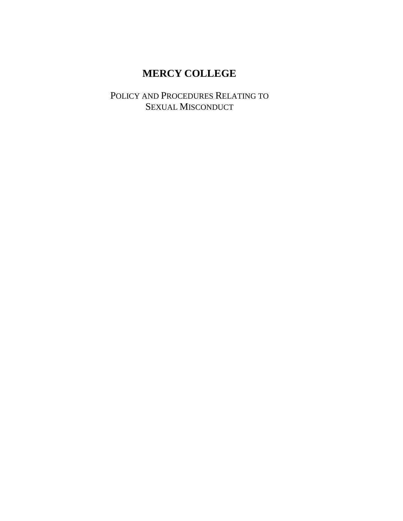# **MERCY COLLEGE**

POLICY AND PROCEDURES RELATING TO SEXUAL MISCONDUCT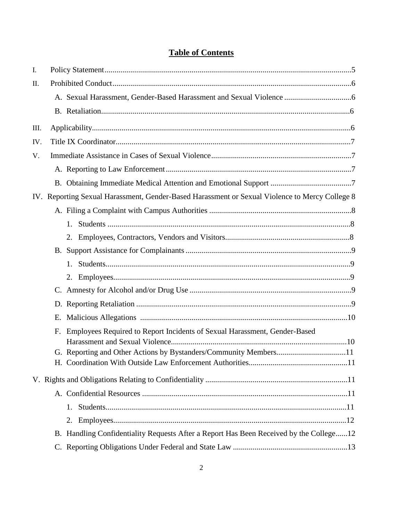## **Table of Contents**

| I.   |    |                                                                                                |  |
|------|----|------------------------------------------------------------------------------------------------|--|
| II.  |    |                                                                                                |  |
|      |    |                                                                                                |  |
|      |    |                                                                                                |  |
| III. |    |                                                                                                |  |
| IV.  |    |                                                                                                |  |
| V.   |    |                                                                                                |  |
|      |    |                                                                                                |  |
|      |    |                                                                                                |  |
|      |    | IV. Reporting Sexual Harassment, Gender-Based Harassment or Sexual Violence to Mercy College 8 |  |
|      |    |                                                                                                |  |
|      |    | 1.                                                                                             |  |
|      |    | 2.                                                                                             |  |
|      |    |                                                                                                |  |
|      |    | 1.                                                                                             |  |
|      |    | 2.                                                                                             |  |
|      |    |                                                                                                |  |
|      |    |                                                                                                |  |
|      | Е. |                                                                                                |  |
|      | F. | Employees Required to Report Incidents of Sexual Harassment, Gender-Based                      |  |
|      |    |                                                                                                |  |
|      |    |                                                                                                |  |
|      |    |                                                                                                |  |
|      |    |                                                                                                |  |
|      |    | 1.                                                                                             |  |
|      |    |                                                                                                |  |
|      |    | B. Handling Confidentiality Requests After a Report Has Been Received by the College12         |  |
|      |    |                                                                                                |  |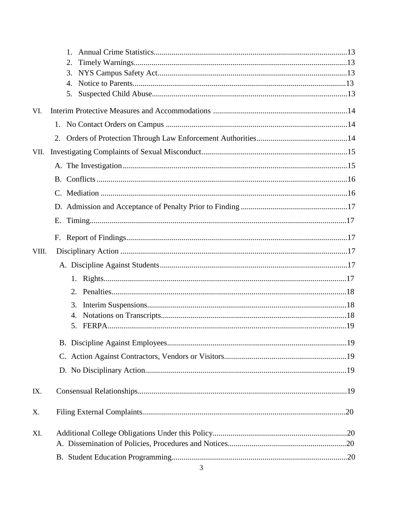|       | $1_{-}$<br>2.<br>3.<br>4.<br>5. |
|-------|---------------------------------|
| VI.   |                                 |
|       |                                 |
|       |                                 |
| VII.  |                                 |
|       |                                 |
|       |                                 |
|       |                                 |
|       |                                 |
|       |                                 |
|       |                                 |
| VIII. |                                 |
|       |                                 |
|       |                                 |
|       | 2.                              |
|       | 3.                              |
|       | 4.                              |
|       | 5.                              |
|       |                                 |
|       |                                 |
|       |                                 |
| IX.   |                                 |
| Χ.    |                                 |
| XI.   |                                 |
|       |                                 |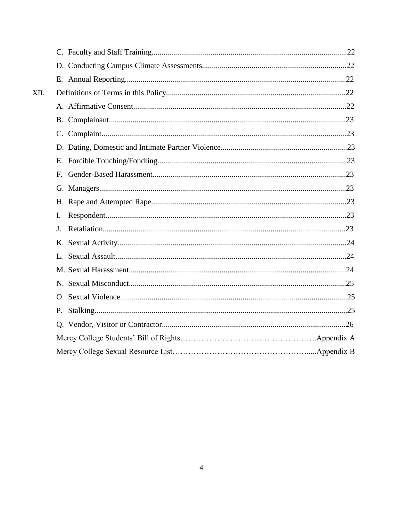| XII. |    |  |
|------|----|--|
|      |    |  |
|      |    |  |
|      |    |  |
|      |    |  |
|      |    |  |
|      | F. |  |
|      |    |  |
|      |    |  |
|      | I. |  |
|      | J. |  |
|      |    |  |
|      |    |  |
|      |    |  |
|      |    |  |
|      |    |  |
|      | P. |  |
|      |    |  |
|      |    |  |
|      |    |  |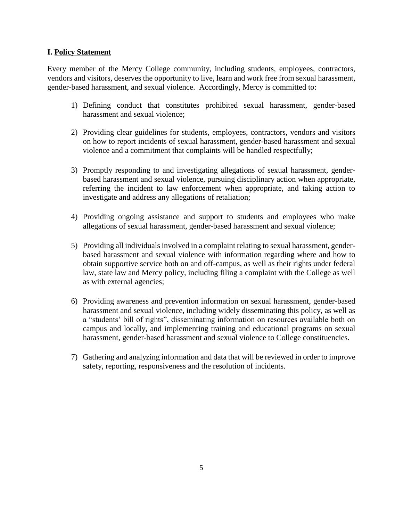#### **I. Policy Statement**

Every member of the Mercy College community, including students, employees, contractors, vendors and visitors, deserves the opportunity to live, learn and work free from sexual harassment, gender-based harassment, and sexual violence. Accordingly, Mercy is committed to:

- 1) Defining conduct that constitutes prohibited sexual harassment, gender-based harassment and sexual violence;
- 2) Providing clear guidelines for students, employees, contractors, vendors and visitors on how to report incidents of sexual harassment, gender-based harassment and sexual violence and a commitment that complaints will be handled respectfully;
- 3) Promptly responding to and investigating allegations of sexual harassment, genderbased harassment and sexual violence, pursuing disciplinary action when appropriate, referring the incident to law enforcement when appropriate, and taking action to investigate and address any allegations of retaliation;
- 4) Providing ongoing assistance and support to students and employees who make allegations of sexual harassment, gender-based harassment and sexual violence;
- 5) Providing all individuals involved in a complaint relating to sexual harassment, genderbased harassment and sexual violence with information regarding where and how to obtain supportive service both on and off-campus, as well as their rights under federal law, state law and Mercy policy, including filing a complaint with the College as well as with external agencies;
- 6) Providing awareness and prevention information on sexual harassment, gender-based harassment and sexual violence, including widely disseminating this policy, as well as a "students' bill of rights", disseminating information on resources available both on campus and locally, and implementing training and educational programs on sexual harassment, gender-based harassment and sexual violence to College constituencies.
- 7) Gathering and analyzing information and data that will be reviewed in order to improve safety, reporting, responsiveness and the resolution of incidents.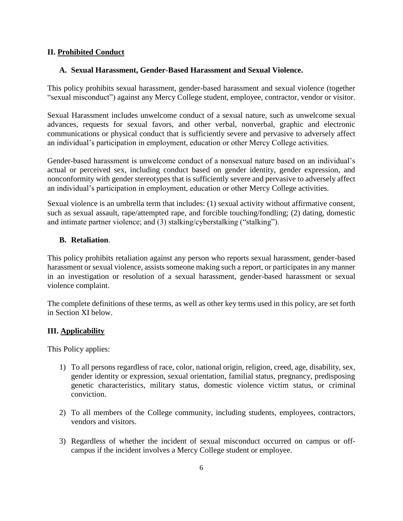#### **II. Prohibited Conduct**

#### **A. Sexual Harassment, Gender-Based Harassment and Sexual Violence.**

This policy prohibits sexual harassment, gender-based harassment and sexual violence (together "sexual misconduct") against any Mercy College student, employee, contractor, vendor or visitor.

Sexual Harassment includes unwelcome conduct of a sexual nature, such as unwelcome sexual advances, requests for sexual favors, and other verbal, nonverbal, graphic and electronic communications or physical conduct that is sufficiently severe and pervasive to adversely affect an individual's participation in employment, education or other Mercy College activities.

Gender-based harassment is unwelcome conduct of a nonsexual nature based on an individual's actual or perceived sex, including conduct based on gender identity, gender expression, and nonconformity with gender stereotypes that is sufficiently severe and pervasive to adversely affect an individual's participation in employment, education or other Mercy College activities.

Sexual violence is an umbrella term that includes: (1) sexual activity without affirmative consent, such as sexual assault, rape/attempted rape, and forcible touching/fondling; (2) dating, domestic and intimate partner violence; and (3) stalking/cyberstalking ("stalking").

#### **B. Retaliation**.

This policy prohibits retaliation against any person who reports sexual harassment, gender-based harassment or sexual violence, assists someone making such a report, or participates in any manner in an investigation or resolution of a sexual harassment, gender-based harassment or sexual violence complaint.

The complete definitions of these terms, as well as other key terms used in this policy, are set forth in Section XI below.

#### **III. Applicability**

This Policy applies:

- 1) To all persons regardless of race, color, national origin, religion, creed, age, disability, sex, gender identity or expression, sexual orientation, familial status, pregnancy, predisposing genetic characteristics, military status, domestic violence victim status, or criminal conviction.
- 2) To all members of the College community, including students, employees, contractors, vendors and visitors.
- 3) Regardless of whether the incident of sexual misconduct occurred on campus or offcampus if the incident involves a Mercy College student or employee.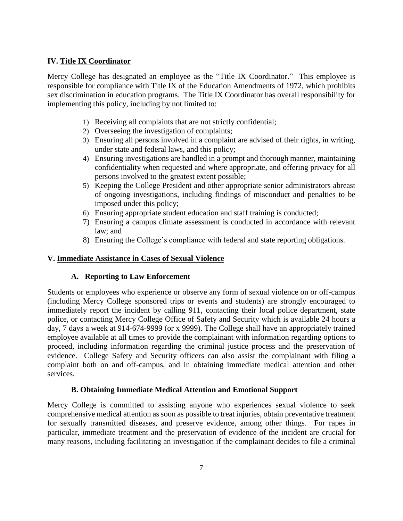## **IV. Title IX Coordinator**

Mercy College has designated an employee as the "Title IX Coordinator." This employee is responsible for compliance with Title IX of the Education Amendments of 1972, which prohibits sex discrimination in education programs. The Title IX Coordinator has overall responsibility for implementing this policy, including by not limited to:

- 1) Receiving all complaints that are not strictly confidential;
- 2) Overseeing the investigation of complaints;
- 3) Ensuring all persons involved in a complaint are advised of their rights, in writing, under state and federal laws, and this policy;
- 4) Ensuring investigations are handled in a prompt and thorough manner, maintaining confidentiality when requested and where appropriate, and offering privacy for all persons involved to the greatest extent possible;
- 5) Keeping the College President and other appropriate senior administrators abreast of ongoing investigations, including findings of misconduct and penalties to be imposed under this policy;
- 6) Ensuring appropriate student education and staff training is conducted;
- 7) Ensuring a campus climate assessment is conducted in accordance with relevant law; and
- 8) Ensuring the College's compliance with federal and state reporting obligations.

### **V. Immediate Assistance in Cases of Sexual Violence**

#### **A. Reporting to Law Enforcement**

Students or employees who experience or observe any form of sexual violence on or off-campus (including Mercy College sponsored trips or events and students) are strongly encouraged to immediately report the incident by calling 911, contacting their local police department, state police, or contacting Mercy College Office of Safety and Security which is available 24 hours a day, 7 days a week at 914-674-9999 (or x 9999). The College shall have an appropriately trained employee available at all times to provide the complainant with information regarding options to proceed, including information regarding the criminal justice process and the preservation of evidence. College Safety and Security officers can also assist the complainant with filing a complaint both on and off-campus, and in obtaining immediate medical attention and other services.

#### **B. Obtaining Immediate Medical Attention and Emotional Support**

Mercy College is committed to assisting anyone who experiences sexual violence to seek comprehensive medical attention as soon as possible to treat injuries, obtain preventative treatment for sexually transmitted diseases, and preserve evidence, among other things. For rapes in particular, immediate treatment and the preservation of evidence of the incident are crucial for many reasons, including facilitating an investigation if the complainant decides to file a criminal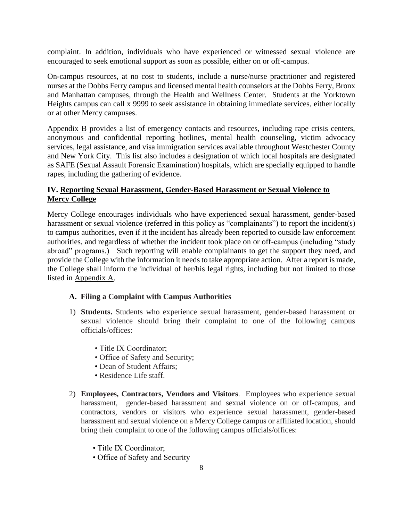complaint. In addition, individuals who have experienced or witnessed sexual violence are encouraged to seek emotional support as soon as possible, either on or off-campus.

On-campus resources, at no cost to students, include a nurse/nurse practitioner and registered nurses at the Dobbs Ferry campus and licensed mental health counselors at the Dobbs Ferry, Bronx and Manhattan campuses, through the Health and Wellness Center. Students at the Yorktown Heights campus can call x 9999 to seek assistance in obtaining immediate services, either locally or at other Mercy campuses.

Appendix B provides a list of emergency contacts and resources, including rape crisis centers, anonymous and confidential reporting hotlines, mental health counseling, victim advocacy services, legal assistance, and visa immigration services available throughout Westchester County and New York City. This list also includes a designation of which local hospitals are designated as SAFE (Sexual Assault Forensic Examination) hospitals, which are specially equipped to handle rapes, including the gathering of evidence.

## **IV. Reporting Sexual Harassment, Gender-Based Harassment or Sexual Violence to Mercy College**

Mercy College encourages individuals who have experienced sexual harassment, gender-based harassment or sexual violence (referred in this policy as "complainants") to report the incident(s) to campus authorities, even if it the incident has already been reported to outside law enforcement authorities, and regardless of whether the incident took place on or off-campus (including "study abroad" programs.) Such reporting will enable complainants to get the support they need, and provide the College with the information it needs to take appropriate action. After a report is made, the College shall inform the individual of her/his legal rights, including but not limited to those listed in Appendix A.

## **A. Filing a Complaint with Campus Authorities**

- 1) **Students.** Students who experience sexual harassment, gender-based harassment or sexual violence should bring their complaint to one of the following campus officials/offices:
	- Title IX Coordinator;
	- Office of Safety and Security;
	- Dean of Student Affairs;
	- Residence Life staff.
- 2) **Employees, Contractors, Vendors and Visitors**. Employees who experience sexual harassment, gender-based harassment and sexual violence on or off-campus, and contractors, vendors or visitors who experience sexual harassment, gender-based harassment and sexual violence on a Mercy College campus or affiliated location, should bring their complaint to one of the following campus officials/offices:
	- Title IX Coordinator;
	- Office of Safety and Security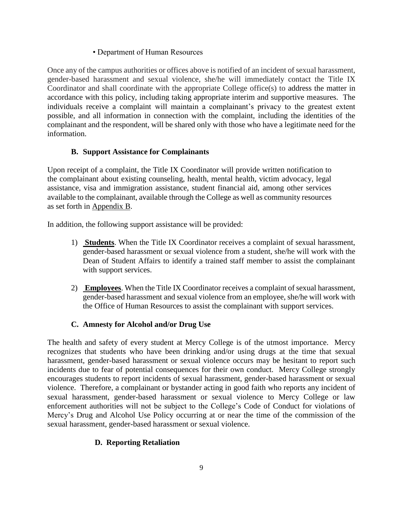### • Department of Human Resources

Once any of the campus authorities or offices above is notified of an incident of sexual harassment, gender-based harassment and sexual violence, she/he will immediately contact the Title IX Coordinator and shall coordinate with the appropriate College office(s) to address the matter in accordance with this policy, including taking appropriate interim and supportive measures. The individuals receive a complaint will maintain a complainant's privacy to the greatest extent possible, and all information in connection with the complaint, including the identities of the complainant and the respondent, will be shared only with those who have a legitimate need for the information.

## **B. Support Assistance for Complainants**

Upon receipt of a complaint, the Title IX Coordinator will provide written notification to the complainant about existing counseling, health, mental health, victim advocacy, legal assistance, visa and immigration assistance, student financial aid, among other services available to the complainant, available through the College as well as community resources as set forth in Appendix B.

In addition, the following support assistance will be provided:

- 1) **Students**. When the Title IX Coordinator receives a complaint of sexual harassment, gender-based harassment or sexual violence from a student, she/he will work with the Dean of Student Affairs to identify a trained staff member to assist the complainant with support services.
- 2) **Employees**. When the Title IX Coordinator receives a complaint of sexual harassment, gender-based harassment and sexual violence from an employee, she/he will work with the Office of Human Resources to assist the complainant with support services.

## **C. Amnesty for Alcohol and/or Drug Use**

The health and safety of every student at Mercy College is of the utmost importance. Mercy recognizes that students who have been drinking and/or using drugs at the time that sexual harassment, gender-based harassment or sexual violence occurs may be hesitant to report such incidents due to fear of potential consequences for their own conduct. Mercy College strongly encourages students to report incidents of sexual harassment, gender-based harassment or sexual violence. Therefore, a complainant or bystander acting in good faith who reports any incident of sexual harassment, gender-based harassment or sexual violence to Mercy College or law enforcement authorities will not be subject to the College's Code of Conduct for violations of Mercy's Drug and Alcohol Use Policy occurring at or near the time of the commission of the sexual harassment, gender-based harassment or sexual violence.

## **D. Reporting Retaliation**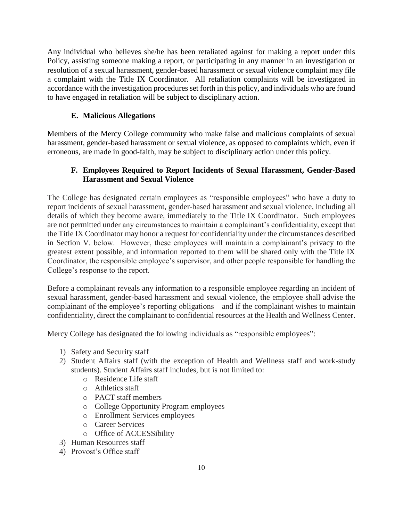Any individual who believes she/he has been retaliated against for making a report under this Policy, assisting someone making a report, or participating in any manner in an investigation or resolution of a sexual harassment, gender-based harassment or sexual violence complaint may file a complaint with the Title IX Coordinator. All retaliation complaints will be investigated in accordance with the investigation procedures set forth in this policy, and individuals who are found to have engaged in retaliation will be subject to disciplinary action.

## **E. Malicious Allegations**

Members of the Mercy College community who make false and malicious complaints of sexual harassment, gender-based harassment or sexual violence, as opposed to complaints which, even if erroneous, are made in good-faith, may be subject to disciplinary action under this policy.

## **F. Employees Required to Report Incidents of Sexual Harassment, Gender-Based Harassment and Sexual Violence**

The College has designated certain employees as "responsible employees" who have a duty to report incidents of sexual harassment, gender-based harassment and sexual violence, including all details of which they become aware, immediately to the Title IX Coordinator. Such employees are not permitted under any circumstances to maintain a complainant's confidentiality, except that the Title IX Coordinator may honor a request for confidentiality under the circumstances described in Section V. below. However, these employees will maintain a complainant's privacy to the greatest extent possible, and information reported to them will be shared only with the Title IX Coordinator, the responsible employee's supervisor, and other people responsible for handling the College's response to the report.

Before a complainant reveals any information to a responsible employee regarding an incident of sexual harassment, gender-based harassment and sexual violence, the employee shall advise the complainant of the employee's reporting obligations—and if the complainant wishes to maintain confidentiality, direct the complainant to confidential resources at the Health and Wellness Center.

Mercy College has designated the following individuals as "responsible employees":

- 1) Safety and Security staff
- 2) Student Affairs staff (with the exception of Health and Wellness staff and work-study students). Student Affairs staff includes, but is not limited to:
	- o Residence Life staff
	- o Athletics staff
	- o PACT staff members
	- o College Opportunity Program employees
	- o Enrollment Services employees
	- o Career Services
	- o Office of ACCESSibility
- 3) Human Resources staff
- 4) Provost's Office staff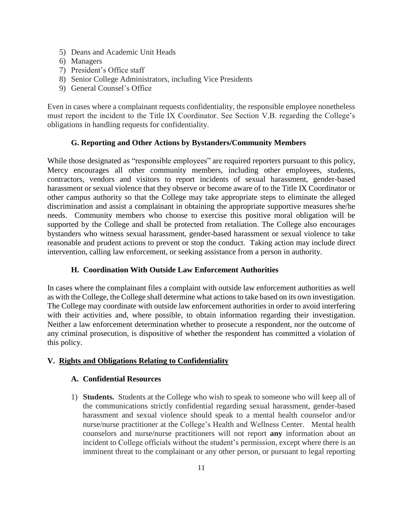- 5) Deans and Academic Unit Heads
- 6) Managers
- 7) President's Office staff
- 8) Senior College Administrators, including Vice Presidents
- 9) General Counsel's Office

Even in cases where a complainant requests confidentiality, the responsible employee nonetheless must report the incident to the Title IX Coordinator. See Section V.B. regarding the College's obligations in handling requests for confidentiality.

## **G. Reporting and Other Actions by Bystanders/Community Members**

While those designated as "responsible employees" are required reporters pursuant to this policy, Mercy encourages all other community members, including other employees, students, contractors, vendors and visitors to report incidents of sexual harassment, gender-based harassment or sexual violence that they observe or become aware of to the Title IX Coordinator or other campus authority so that the College may take appropriate steps to eliminate the alleged discrimination and assist a complainant in obtaining the appropriate supportive measures she/he needs. Community members who choose to exercise this positive moral obligation will be supported by the College and shall be protected from retaliation. The College also encourages bystanders who witness sexual harassment, gender-based harassment or sexual violence to take reasonable and prudent actions to prevent or stop the conduct. Taking action may include direct intervention, calling law enforcement, or seeking assistance from a person in authority.

#### **H. Coordination With Outside Law Enforcement Authorities**

In cases where the complainant files a complaint with outside law enforcement authorities as well as with the College, the College shall determine what actions to take based on its own investigation. The College may coordinate with outside law enforcement authorities in order to avoid interfering with their activities and, where possible, to obtain information regarding their investigation. Neither a law enforcement determination whether to prosecute a respondent, nor the outcome of any criminal prosecution, is dispositive of whether the respondent has committed a violation of this policy.

## **V. Rights and Obligations Relating to Confidentiality**

#### **A. Confidential Resources**

1) **Students.** Students at the College who wish to speak to someone who will keep all of the communications strictly confidential regarding sexual harassment, gender-based harassment and sexual violence should speak to a mental health counselor and/or nurse/nurse practitioner at the College's Health and Wellness Center. Mental health counselors and nurse/nurse practitioners will not report **any** information about an incident to College officials without the student's permission, except where there is an imminent threat to the complainant or any other person, or pursuant to legal reporting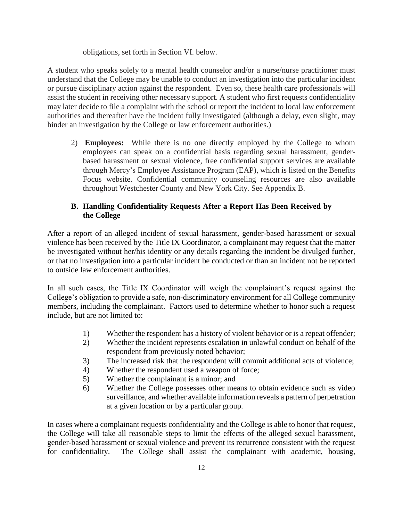obligations, set forth in Section VI. below.

A student who speaks solely to a mental health counselor and/or a nurse/nurse practitioner must understand that the College may be unable to conduct an investigation into the particular incident or pursue disciplinary action against the respondent. Even so, these health care professionals will assist the student in receiving other necessary support. A student who first requests confidentiality may later decide to file a complaint with the school or report the incident to local law enforcement authorities and thereafter have the incident fully investigated (although a delay, even slight, may hinder an investigation by the College or law enforcement authorities.)

2) **Employees:** While there is no one directly employed by the College to whom employees can speak on a confidential basis regarding sexual harassment, genderbased harassment or sexual violence, free confidential support services are available through Mercy's Employee Assistance Program (EAP), which is listed on the Benefits Focus website. Confidential community counseling resources are also available throughout Westchester County and New York City. See Appendix B.

## **B. Handling Confidentiality Requests After a Report Has Been Received by the College**

After a report of an alleged incident of sexual harassment, gender-based harassment or sexual violence has been received by the Title IX Coordinator, a complainant may request that the matter be investigated without her/his identity or any details regarding the incident be divulged further, or that no investigation into a particular incident be conducted or than an incident not be reported to outside law enforcement authorities.

In all such cases, the Title IX Coordinator will weigh the complainant's request against the College's obligation to provide a safe, non-discriminatory environment for all College community members, including the complainant. Factors used to determine whether to honor such a request include, but are not limited to:

- 1) Whether the respondent has a history of violent behavior or is a repeat offender;
- 2) Whether the incident represents escalation in unlawful conduct on behalf of the respondent from previously noted behavior;
- 3) The increased risk that the respondent will commit additional acts of violence;
- 4) Whether the respondent used a weapon of force;
- 5) Whether the complainant is a minor; and
- 6) Whether the College possesses other means to obtain evidence such as video surveillance, and whether available information reveals a pattern of perpetration at a given location or by a particular group.

In cases where a complainant requests confidentiality and the College is able to honor that request, the College will take all reasonable steps to limit the effects of the alleged sexual harassment, gender-based harassment or sexual violence and prevent its recurrence consistent with the request for confidentiality. The College shall assist the complainant with academic, housing,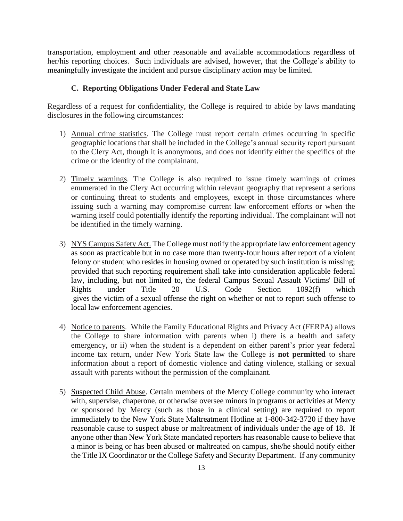transportation, employment and other reasonable and available accommodations regardless of her/his reporting choices. Such individuals are advised, however, that the College's ability to meaningfully investigate the incident and pursue disciplinary action may be limited.

#### **C. Reporting Obligations Under Federal and State Law**

Regardless of a request for confidentiality, the College is required to abide by laws mandating disclosures in the following circumstances:

- 1) Annual crime statistics. The College must report certain crimes occurring in specific geographic locations that shall be included in the College's annual security report pursuant to the Clery Act, though it is anonymous, and does not identify either the specifics of the crime or the identity of the complainant.
- 2) Timely warnings. The College is also required to issue timely warnings of crimes enumerated in the Clery Act occurring within relevant geography that represent a serious or continuing threat to students and employees, except in those circumstances where issuing such a warning may compromise current law enforcement efforts or when the warning itself could potentially identify the reporting individual. The complainant will not be identified in the timely warning.
- 3) NYS Campus Safety Act. The College must notify the appropriate law enforcement agency as soon as practicable but in no case more than twenty-four hours after report of a violent felony or student who resides in housing owned or operated by such institution is missing; provided that such reporting requirement shall take into consideration applicable federal law, including, but not limited to, the federal Campus Sexual Assault Victims' Bill of Rights under Title 20 U.S. Code Section 1092(f) which gives the victim of a sexual offense the right on whether or not to report such offense to local law enforcement agencies.
- 4) Notice to parents. While the Family Educational Rights and Privacy Act (FERPA) allows the College to share information with parents when i) there is a health and safety emergency, or ii) when the student is a dependent on either parent's prior year federal income tax return, under New York State law the College is **not permitted** to share information about a report of domestic violence and dating violence, stalking or sexual assault with parents without the permission of the complainant.
- 5) Suspected Child Abuse. Certain members of the Mercy College community who interact with, supervise, chaperone, or otherwise oversee minors in programs or activities at Mercy or sponsored by Mercy (such as those in a clinical setting) are required to report immediately to the New York State Maltreatment Hotline at 1-800-342-3720 if they have reasonable cause to suspect abuse or maltreatment of individuals under the age of 18. If anyone other than New York State mandated reporters has reasonable cause to believe that a minor is being or has been abused or maltreated on campus, she/he should notify either the Title IX Coordinator or the College Safety and Security Department. If any community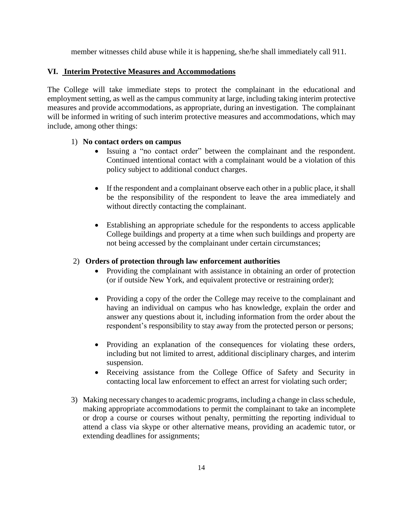member witnesses child abuse while it is happening, she/he shall immediately call 911.

#### **VI. Interim Protective Measures and Accommodations**

The College will take immediate steps to protect the complainant in the educational and employment setting, as well as the campus community at large, including taking interim protective measures and provide accommodations, as appropriate, during an investigation. The complainant will be informed in writing of such interim protective measures and accommodations, which may include, among other things:

#### 1) **No contact orders on campus**

- Issuing a "no contact order" between the complainant and the respondent. Continued intentional contact with a complainant would be a violation of this policy subject to additional conduct charges.
- If the respondent and a complainant observe each other in a public place, it shall be the responsibility of the respondent to leave the area immediately and without directly contacting the complainant.
- Establishing an appropriate schedule for the respondents to access applicable College buildings and property at a time when such buildings and property are not being accessed by the complainant under certain circumstances;

#### 2) **Orders of protection through law enforcement authorities**

- Providing the complainant with assistance in obtaining an order of protection (or if outside New York, and equivalent protective or restraining order);
- Providing a copy of the order the College may receive to the complainant and having an individual on campus who has knowledge, explain the order and answer any questions about it, including information from the order about the respondent's responsibility to stay away from the protected person or persons;
- Providing an explanation of the consequences for violating these orders, including but not limited to arrest, additional disciplinary charges, and interim suspension.
- Receiving assistance from the College Office of Safety and Security in contacting local law enforcement to effect an arrest for violating such order;
- 3) Making necessary changes to academic programs, including a change in class schedule, making appropriate accommodations to permit the complainant to take an incomplete or drop a course or courses without penalty, permitting the reporting individual to attend a class via skype or other alternative means, providing an academic tutor, or extending deadlines for assignments;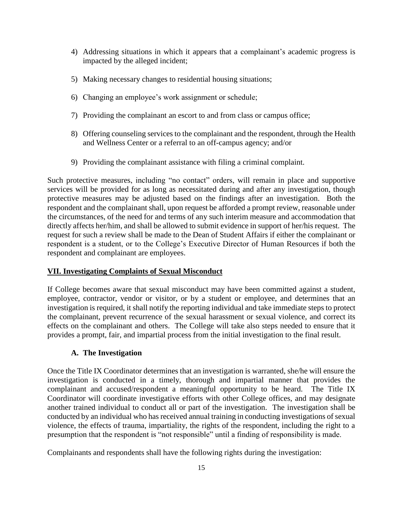- 4) Addressing situations in which it appears that a complainant's academic progress is impacted by the alleged incident;
- 5) Making necessary changes to residential housing situations;
- 6) Changing an employee's work assignment or schedule;
- 7) Providing the complainant an escort to and from class or campus office;
- 8) Offering counseling services to the complainant and the respondent, through the Health and Wellness Center or a referral to an off-campus agency; and/or
- 9) Providing the complainant assistance with filing a criminal complaint.

Such protective measures, including "no contact" orders, will remain in place and supportive services will be provided for as long as necessitated during and after any investigation, though protective measures may be adjusted based on the findings after an investigation. Both the respondent and the complainant shall, upon request be afforded a prompt review, reasonable under the circumstances, of the need for and terms of any such interim measure and accommodation that directly affects her/him, and shall be allowed to submit evidence in support of her/his request. The request for such a review shall be made to the Dean of Student Affairs if either the complainant or respondent is a student, or to the College's Executive Director of Human Resources if both the respondent and complainant are employees.

#### **VII. Investigating Complaints of Sexual Misconduct**

If College becomes aware that sexual misconduct may have been committed against a student, employee, contractor, vendor or visitor, or by a student or employee, and determines that an investigation is required, it shall notify the reporting individual and take immediate steps to protect the complainant, prevent recurrence of the sexual harassment or sexual violence, and correct its effects on the complainant and others. The College will take also steps needed to ensure that it provides a prompt, fair, and impartial process from the initial investigation to the final result.

## **A. The Investigation**

Once the Title IX Coordinator determines that an investigation is warranted, she/he will ensure the investigation is conducted in a timely, thorough and impartial manner that provides the complainant and accused/respondent a meaningful opportunity to be heard. The Title IX Coordinator will coordinate investigative efforts with other College offices, and may designate another trained individual to conduct all or part of the investigation. The investigation shall be conducted by an individual who has received annual training in conducting investigations of sexual violence, the effects of trauma, impartiality, the rights of the respondent, including the right to a presumption that the respondent is "not responsible" until a finding of responsibility is made.

Complainants and respondents shall have the following rights during the investigation: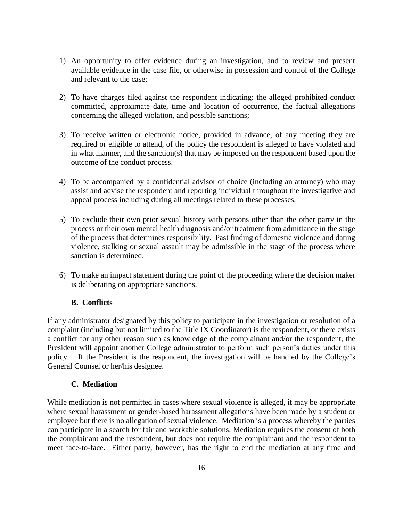- 1) An opportunity to offer evidence during an investigation, and to review and present available evidence in the case file, or otherwise in possession and control of the College and relevant to the case;
- 2) To have charges filed against the respondent indicating: the alleged prohibited conduct committed, approximate date, time and location of occurrence, the factual allegations concerning the alleged violation, and possible sanctions;
- 3) To receive written or electronic notice, provided in advance, of any meeting they are required or eligible to attend, of the policy the respondent is alleged to have violated and in what manner, and the sanction(s) that may be imposed on the respondent based upon the outcome of the conduct process.
- 4) To be accompanied by a confidential advisor of choice (including an attorney) who may assist and advise the respondent and reporting individual throughout the investigative and appeal process including during all meetings related to these processes.
- 5) To exclude their own prior sexual history with persons other than the other party in the process or their own mental health diagnosis and/or treatment from admittance in the stage of the process that determines responsibility. Past finding of domestic violence and dating violence, stalking or sexual assault may be admissible in the stage of the process where sanction is determined.
- 6) To make an impact statement during the point of the proceeding where the decision maker is deliberating on appropriate sanctions.

## **B. Conflicts**

If any administrator designated by this policy to participate in the investigation or resolution of a complaint (including but not limited to the Title IX Coordinator) is the respondent, or there exists a conflict for any other reason such as knowledge of the complainant and/or the respondent, the President will appoint another College administrator to perform such person's duties under this policy. If the President is the respondent, the investigation will be handled by the College's General Counsel or her/his designee.

#### **C. Mediation**

While mediation is not permitted in cases where sexual violence is alleged, it may be appropriate where sexual harassment or gender-based harassment allegations have been made by a student or employee but there is no allegation of sexual violence. Mediation is a process whereby the parties can participate in a search for fair and workable solutions. Mediation requires the consent of both the complainant and the respondent, but does not require the complainant and the respondent to meet face-to-face. Either party, however, has the right to end the mediation at any time and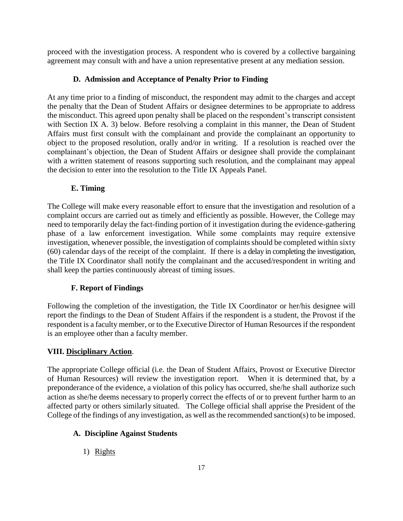proceed with the investigation process. A respondent who is covered by a collective bargaining agreement may consult with and have a union representative present at any mediation session.

## **D. Admission and Acceptance of Penalty Prior to Finding**

At any time prior to a finding of misconduct, the respondent may admit to the charges and accept the penalty that the Dean of Student Affairs or designee determines to be appropriate to address the misconduct. This agreed upon penalty shall be placed on the respondent's transcript consistent with Section IX A. 3) below. Before resolving a complaint in this manner, the Dean of Student Affairs must first consult with the complainant and provide the complainant an opportunity to object to the proposed resolution, orally and/or in writing. If a resolution is reached over the complainant's objection, the Dean of Student Affairs or designee shall provide the complainant with a written statement of reasons supporting such resolution, and the complainant may appeal the decision to enter into the resolution to the Title IX Appeals Panel.

## **E. Timing**

The College will make every reasonable effort to ensure that the investigation and resolution of a complaint occurs are carried out as timely and efficiently as possible. However, the College may need to temporarily delay the fact-finding portion of it investigation during the evidence-gathering phase of a law enforcement investigation. While some complaints may require extensive investigation, whenever possible, the investigation of complaints should be completed within sixty (60) calendar days of the receipt of the complaint. If there is a delay in completing the investigation, the Title IX Coordinator shall notify the complainant and the accused/respondent in writing and shall keep the parties continuously abreast of timing issues.

## **F. Report of Findings**

Following the completion of the investigation, the Title IX Coordinator or her/his designee will report the findings to the Dean of Student Affairs if the respondent is a student, the Provost if the respondent is a faculty member, or to the Executive Director of Human Resources if the respondent is an employee other than a faculty member.

#### **VIII. Disciplinary Action**.

The appropriate College official (i.e. the Dean of Student Affairs, Provost or Executive Director of Human Resources) will review the investigation report. When it is determined that, by a preponderance of the evidence, a violation of this policy has occurred, she/he shall authorize such action as she/he deems necessary to properly correct the effects of or to prevent further harm to an affected party or others similarly situated. The College official shall apprise the President of the College of the findings of any investigation, as well as the recommended sanction(s) to be imposed.

## **A. Discipline Against Students**

1) Rights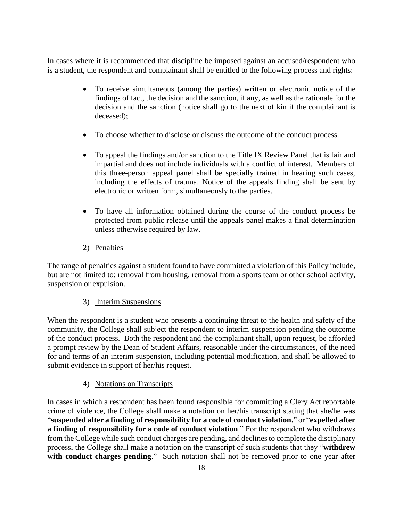In cases where it is recommended that discipline be imposed against an accused/respondent who is a student, the respondent and complainant shall be entitled to the following process and rights:

- To receive simultaneous (among the parties) written or electronic notice of the findings of fact, the decision and the sanction, if any, as well as the rationale for the decision and the sanction (notice shall go to the next of kin if the complainant is deceased);
- To choose whether to disclose or discuss the outcome of the conduct process.
- To appeal the findings and/or sanction to the Title IX Review Panel that is fair and impartial and does not include individuals with a conflict of interest. Members of this three-person appeal panel shall be specially trained in hearing such cases, including the effects of trauma. Notice of the appeals finding shall be sent by electronic or written form, simultaneously to the parties.
- To have all information obtained during the course of the conduct process be protected from public release until the appeals panel makes a final determination unless otherwise required by law.
- 2) Penalties

The range of penalties against a student found to have committed a violation of this Policy include, but are not limited to: removal from housing, removal from a sports team or other school activity, suspension or expulsion.

## 3) Interim Suspensions

When the respondent is a student who presents a continuing threat to the health and safety of the community, the College shall subject the respondent to interim suspension pending the outcome of the conduct process. Both the respondent and the complainant shall, upon request, be afforded a prompt review by the Dean of Student Affairs, reasonable under the circumstances, of the need for and terms of an interim suspension, including potential modification, and shall be allowed to submit evidence in support of her/his request.

## 4) Notations on Transcripts

In cases in which a respondent has been found responsible for committing a Clery Act reportable crime of violence, the College shall make a notation on her/his transcript stating that she/he was "**suspended after a finding of responsibility for a code of conduct violation.**" or "**expelled after a finding of responsibility for a code of conduct violation**." For the respondent who withdraws from the College while such conduct charges are pending, and declines to complete the disciplinary process, the College shall make a notation on the transcript of such students that they "**withdrew**  with conduct charges pending." Such notation shall not be removed prior to one year after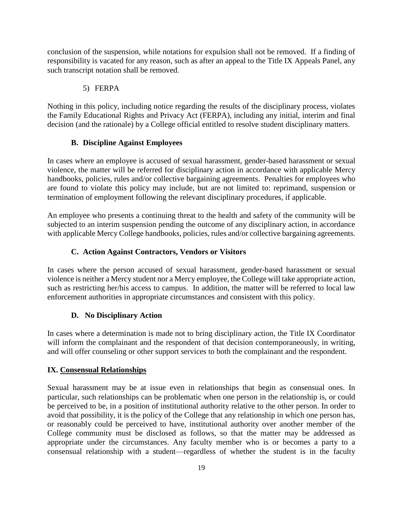conclusion of the suspension, while notations for expulsion shall not be removed. If a finding of responsibility is vacated for any reason, such as after an appeal to the Title IX Appeals Panel, any such transcript notation shall be removed.

#### 5) FERPA

Nothing in this policy, including notice regarding the results of the disciplinary process, violates the Family Educational Rights and Privacy Act (FERPA), including any initial, interim and final decision (and the rationale) by a College official entitled to resolve student disciplinary matters.

#### **B. Discipline Against Employees**

In cases where an employee is accused of sexual harassment, gender-based harassment or sexual violence, the matter will be referred for disciplinary action in accordance with applicable Mercy handbooks, policies, rules and/or collective bargaining agreements. Penalties for employees who are found to violate this policy may include, but are not limited to: reprimand, suspension or termination of employment following the relevant disciplinary procedures, if applicable.

An employee who presents a continuing threat to the health and safety of the community will be subjected to an interim suspension pending the outcome of any disciplinary action, in accordance with applicable Mercy College handbooks, policies, rules and/or collective bargaining agreements.

#### **C. Action Against Contractors, Vendors or Visitors**

In cases where the person accused of sexual harassment, gender-based harassment or sexual violence is neither a Mercy student nor a Mercy employee, the College will take appropriate action, such as restricting her/his access to campus. In addition, the matter will be referred to local law enforcement authorities in appropriate circumstances and consistent with this policy.

#### **D. No Disciplinary Action**

In cases where a determination is made not to bring disciplinary action, the Title IX Coordinator will inform the complainant and the respondent of that decision contemporaneously, in writing, and will offer counseling or other support services to both the complainant and the respondent.

#### **IX. Consensual Relationships**

Sexual harassment may be at issue even in relationships that begin as consensual ones. In particular, such relationships can be problematic when one person in the relationship is, or could be perceived to be, in a position of institutional authority relative to the other person. In order to avoid that possibility, it is the policy of the College that any relationship in which one person has, or reasonably could be perceived to have, institutional authority over another member of the College community must be disclosed as follows, so that the matter may be addressed as appropriate under the circumstances. Any faculty member who is or becomes a party to a consensual relationship with a student—regardless of whether the student is in the faculty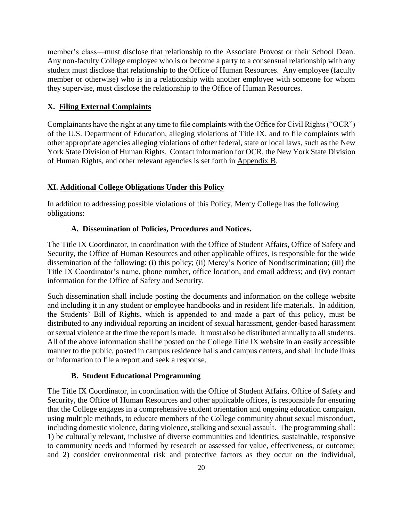member's class—must disclose that relationship to the Associate Provost or their School Dean. Any non-faculty College employee who is or become a party to a consensual relationship with any student must disclose that relationship to the Office of Human Resources. Any employee (faculty member or otherwise) who is in a relationship with another employee with someone for whom they supervise, must disclose the relationship to the Office of Human Resources.

#### **X. Filing External Complaints**

Complainants have the right at any time to file complaints with the Office for Civil Rights ("OCR") of the U.S. Department of Education, alleging violations of Title IX, and to file complaints with other appropriate agencies alleging violations of other federal, state or local laws, such as the New York State Division of Human Rights. Contact information for OCR, the New York State Division of Human Rights, and other relevant agencies is set forth in Appendix B.

#### **XI. Additional College Obligations Under this Policy**

In addition to addressing possible violations of this Policy, Mercy College has the following obligations:

#### **A. Dissemination of Policies, Procedures and Notices.**

The Title IX Coordinator, in coordination with the Office of Student Affairs, Office of Safety and Security, the Office of Human Resources and other applicable offices, is responsible for the wide dissemination of the following: (i) this policy; (ii) Mercy's Notice of Nondiscrimination; (iii) the Title IX Coordinator's name, phone number, office location, and email address; and (iv) contact information for the Office of Safety and Security.

Such dissemination shall include posting the documents and information on the college website and including it in any student or employee handbooks and in resident life materials. In addition, the Students' Bill of Rights, which is appended to and made a part of this policy, must be distributed to any individual reporting an incident of sexual harassment, gender-based harassment or sexual violence at the time the report is made. It must also be distributed annually to all students. All of the above information shall be posted on the College Title IX website in an easily accessible manner to the public, posted in campus residence halls and campus centers, and shall include links or information to file a report and seek a response.

#### **B. Student Educational Programming**

The Title IX Coordinator, in coordination with the Office of Student Affairs, Office of Safety and Security, the Office of Human Resources and other applicable offices, is responsible for ensuring that the College engages in a comprehensive student orientation and ongoing education campaign, using multiple methods, to educate members of the College community about sexual misconduct, including domestic violence, dating violence, stalking and sexual assault. The programming shall: 1) be culturally relevant, inclusive of diverse communities and identities, sustainable, responsive to community needs and informed by research or assessed for value, effectiveness, or outcome; and 2) consider environmental risk and protective factors as they occur on the individual,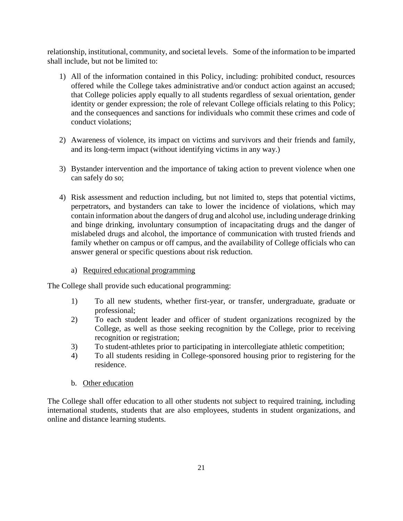relationship, institutional, community, and societal levels. Some of the information to be imparted shall include, but not be limited to:

- 1) All of the information contained in this Policy, including: prohibited conduct, resources offered while the College takes administrative and/or conduct action against an accused; that College policies apply equally to all students regardless of sexual orientation, gender identity or gender expression; the role of relevant College officials relating to this Policy; and the consequences and sanctions for individuals who commit these crimes and code of conduct violations;
- 2) Awareness of violence, its impact on victims and survivors and their friends and family, and its long-term impact (without identifying victims in any way.)
- 3) Bystander intervention and the importance of taking action to prevent violence when one can safely do so;
- 4) Risk assessment and reduction including, but not limited to, steps that potential victims, perpetrators, and bystanders can take to lower the incidence of violations, which may contain information about the dangers of drug and alcohol use, including underage drinking and binge drinking, involuntary consumption of incapacitating drugs and the danger of mislabeled drugs and alcohol, the importance of communication with trusted friends and family whether on campus or off campus, and the availability of College officials who can answer general or specific questions about risk reduction.
	- a) Required educational programming

The College shall provide such educational programming:

- 1) To all new students, whether first-year, or transfer, undergraduate, graduate or professional;
- 2) To each student leader and officer of student organizations recognized by the College, as well as those seeking recognition by the College, prior to receiving recognition or registration;
- 3) To student-athletes prior to participating in intercollegiate athletic competition;
- 4) To all students residing in College-sponsored housing prior to registering for the residence.
- b. Other education

The College shall offer education to all other students not subject to required training, including international students, students that are also employees, students in student organizations, and online and distance learning students.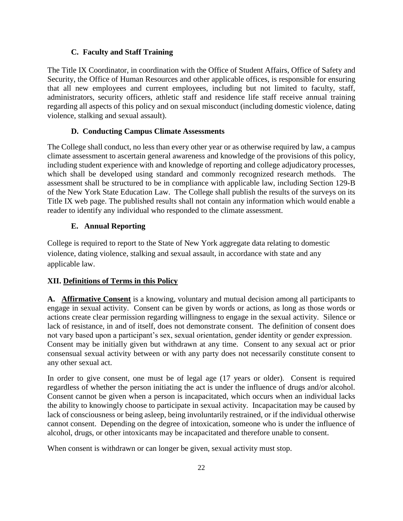### **C. Faculty and Staff Training**

The Title IX Coordinator, in coordination with the Office of Student Affairs, Office of Safety and Security, the Office of Human Resources and other applicable offices, is responsible for ensuring that all new employees and current employees, including but not limited to faculty, staff, administrators, security officers, athletic staff and residence life staff receive annual training regarding all aspects of this policy and on sexual misconduct (including domestic violence, dating violence, stalking and sexual assault).

## **D. Conducting Campus Climate Assessments**

The College shall conduct, no less than every other year or as otherwise required by law, a campus climate assessment to ascertain general awareness and knowledge of the provisions of this policy, including student experience with and knowledge of reporting and college adjudicatory processes, which shall be developed using standard and commonly recognized research methods. The assessment shall be structured to be in compliance with applicable law, including Section 129-B of the New York State Education Law. The College shall publish the results of the surveys on its Title IX web page. The published results shall not contain any information which would enable a reader to identify any individual who responded to the climate assessment.

## **E. Annual Reporting**

College is required to report to the State of New York aggregate data relating to domestic violence, dating violence, stalking and sexual assault, in accordance with state and any applicable law.

## **XII. Definitions of Terms in this Policy**

**A. Affirmative Consent** is a knowing, voluntary and mutual decision among all participants to engage in sexual activity. Consent can be given by words or actions, as long as those words or actions create clear permission regarding willingness to engage in the sexual activity. Silence or lack of resistance, in and of itself, does not demonstrate consent. The definition of consent does not vary based upon a participant's sex, sexual orientation, gender identity or gender expression. Consent may be initially given but withdrawn at any time. Consent to any sexual act or prior consensual sexual activity between or with any party does not necessarily constitute consent to any other sexual act.

In order to give consent, one must be of legal age (17 years or older). Consent is required regardless of whether the person initiating the act is under the influence of drugs and/or alcohol. Consent cannot be given when a person is incapacitated, which occurs when an individual lacks the ability to knowingly choose to participate in sexual activity. Incapacitation may be caused by lack of consciousness or being asleep, being involuntarily restrained, or if the individual otherwise cannot consent. Depending on the degree of intoxication, someone who is under the influence of alcohol, drugs, or other intoxicants may be incapacitated and therefore unable to consent.

When consent is withdrawn or can longer be given, sexual activity must stop.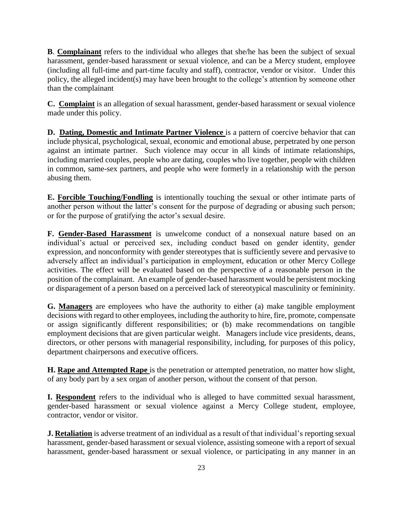**B**. **Complainant** refers to the individual who alleges that she/he has been the subject of sexual harassment, gender-based harassment or sexual violence, and can be a Mercy student, employee (including all full-time and part-time faculty and staff), contractor, vendor or visitor. Under this policy, the alleged incident(s) may have been brought to the college's attention by someone other than the complainant

**C. Complaint** is an allegation of sexual harassment, gender-based harassment or sexual violence made under this policy.

**D. Dating, Domestic and Intimate Partner Violence** is a pattern of coercive behavior that can include physical, psychological, sexual, economic and emotional abuse, perpetrated by one person against an intimate partner. Such violence may occur in all kinds of intimate relationships, including married couples, people who are dating, couples who live together, people with children in common, same-sex partners, and people who were formerly in a relationship with the person abusing them.

**E. Forcible Touching/Fondling** is intentionally touching the sexual or other intimate parts of another person without the latter's consent for the purpose of degrading or abusing such person; or for the purpose of gratifying the actor's sexual desire.

**F. Gender-Based Harassment** is unwelcome conduct of a nonsexual nature based on an individual's actual or perceived sex, including conduct based on gender identity, gender expression, and nonconformity with gender stereotypes that is sufficiently severe and pervasive to adversely affect an individual's participation in employment, education or other Mercy College activities. The effect will be evaluated based on the perspective of a reasonable person in the position of the complainant. An example of gender-based harassment would be persistent mocking or disparagement of a person based on a perceived lack of stereotypical masculinity or femininity.

**G. Managers** are employees who have the authority to either (a) make tangible employment decisions with regard to other employees, including the authority to hire, fire, promote, compensate or assign significantly different responsibilities; or (b) make recommendations on tangible employment decisions that are given particular weight. Managers include vice presidents, deans, directors, or other persons with managerial responsibility, including, for purposes of this policy, department chairpersons and executive officers.

**H. Rape and Attempted Rape** is the penetration or attempted penetration, no matter how slight, of any body part by a sex organ of another person, without the consent of that person.

**I. Respondent** refers to the individual who is alleged to have committed sexual harassment, gender-based harassment or sexual violence against a Mercy College student, employee, contractor, vendor or visitor.

**J. Retaliation** is adverse treatment of an individual as a result of that individual's reporting sexual harassment, gender-based harassment or sexual violence, assisting someone with a report of sexual harassment, gender-based harassment or sexual violence, or participating in any manner in an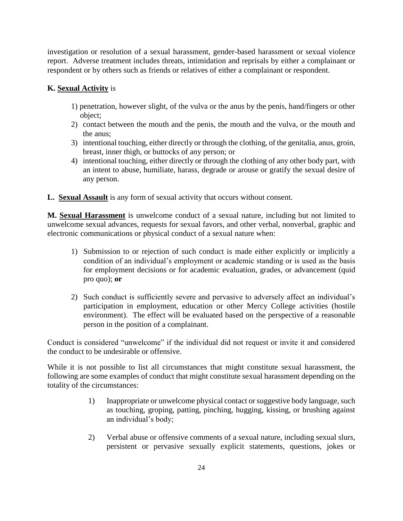investigation or resolution of a sexual harassment, gender-based harassment or sexual violence report. Adverse treatment includes threats, intimidation and reprisals by either a complainant or respondent or by others such as friends or relatives of either a complainant or respondent.

## **K. Sexual Activity** is

- 1) penetration, however slight, of the vulva or the anus by the penis, hand/fingers or other object;
- 2) contact between the mouth and the penis, the mouth and the vulva, or the mouth and the anus;
- 3) intentional touching, either directly or through the clothing, of the genitalia, anus, groin, breast, inner thigh, or buttocks of any person; or
- 4) intentional touching, either directly or through the clothing of any other body part, with an intent to abuse, humiliate, harass, degrade or arouse or gratify the sexual desire of any person.

**L. Sexual Assault** is any form of sexual activity that occurs without consent.

**M. Sexual Harassment** is unwelcome conduct of a sexual nature, including but not limited to unwelcome sexual advances, requests for sexual favors, and other verbal, nonverbal, graphic and electronic communications or physical conduct of a sexual nature when:

- 1) Submission to or rejection of such conduct is made either explicitly or implicitly a condition of an individual's employment or academic standing or is used as the basis for employment decisions or for academic evaluation, grades, or advancement (quid pro quo); **or**
- 2) Such conduct is sufficiently severe and pervasive to adversely affect an individual's participation in employment, education or other Mercy College activities (hostile environment). The effect will be evaluated based on the perspective of a reasonable person in the position of a complainant.

Conduct is considered "unwelcome" if the individual did not request or invite it and considered the conduct to be undesirable or offensive.

While it is not possible to list all circumstances that might constitute sexual harassment, the following are some examples of conduct that might constitute sexual harassment depending on the totality of the circumstances:

- 1) Inappropriate or unwelcome physical contact or suggestive body language, such as touching, groping, patting, pinching, hugging, kissing, or brushing against an individual's body;
- 2) Verbal abuse or offensive comments of a sexual nature, including sexual slurs, persistent or pervasive sexually explicit statements, questions, jokes or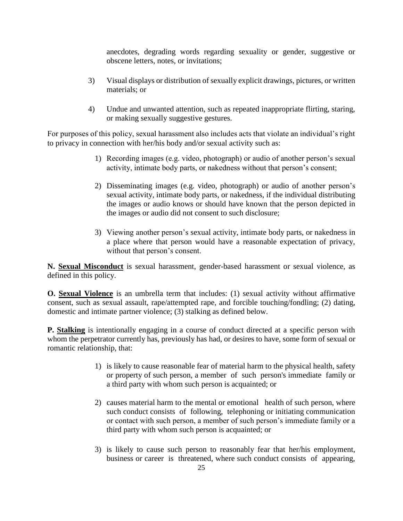anecdotes, degrading words regarding sexuality or gender, suggestive or obscene letters, notes, or invitations;

- 3) Visual displays or distribution of sexually explicit drawings, pictures, or written materials; or
- 4) Undue and unwanted attention, such as repeated inappropriate flirting, staring, or making sexually suggestive gestures.

For purposes of this policy, sexual harassment also includes acts that violate an individual's right to privacy in connection with her/his body and/or sexual activity such as:

- 1) Recording images (e.g. video, photograph) or audio of another person's sexual activity, intimate body parts, or nakedness without that person's consent;
- 2) Disseminating images (e.g. video, photograph) or audio of another person's sexual activity, intimate body parts, or nakedness, if the individual distributing the images or audio knows or should have known that the person depicted in the images or audio did not consent to such disclosure;
- 3) Viewing another person's sexual activity, intimate body parts, or nakedness in a place where that person would have a reasonable expectation of privacy, without that person's consent.

**N. Sexual Misconduct** is sexual harassment, gender-based harassment or sexual violence, as defined in this policy.

**O. Sexual Violence** is an umbrella term that includes: (1) sexual activity without affirmative consent, such as sexual assault, rape/attempted rape, and forcible touching/fondling; (2) dating, domestic and intimate partner violence; (3) stalking as defined below.

**P. Stalking** is intentionally engaging in a course of conduct directed at a specific person with whom the perpetrator currently has, previously has had, or desires to have, some form of sexual or romantic relationship, that:

- 1) is likely to cause reasonable fear of material harm to the physical health, safety or property of such person, a member of such person's immediate family or a third party with whom such person is acquainted; or
- 2) causes material harm to the mental or emotional health of such person, where such conduct consists of following, telephoning or initiating communication or contact with such person, a member of such person's immediate family or a third party with whom such person is acquainted; or
- 3) is likely to cause such person to reasonably fear that her/his employment, business or career is threatened, where such conduct consists of appearing,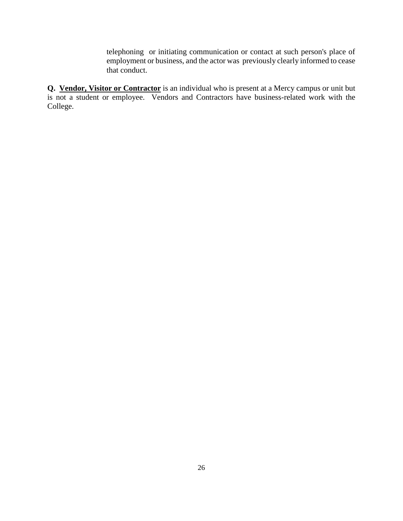telephoning or initiating communication or contact at such person's place of employment or business, and the actor was previously clearly informed to cease that conduct.

**Q. Vendor, Visitor or Contractor** is an individual who is present at a Mercy campus or unit but is not a student or employee. Vendors and Contractors have business-related work with the College.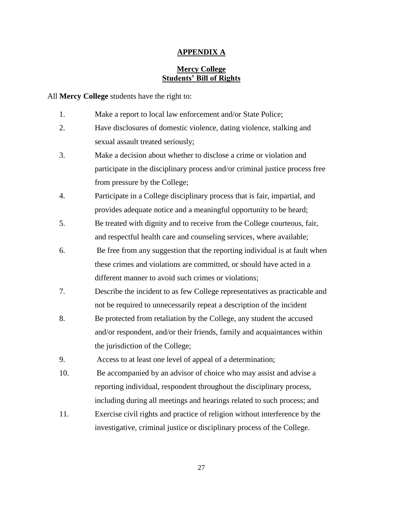#### **APPENDIX A**

## **Mercy College Students' Bill of Rights**

All **Mercy College** students have the right to:

- 1. Make a report to local law enforcement and/or State Police;
- 2. Have disclosures of domestic violence, dating violence, stalking and sexual assault treated seriously;
- 3. Make a decision about whether to disclose a crime or violation and participate in the disciplinary process and/or criminal justice process free from pressure by the College;
- 4. Participate in a College disciplinary process that is fair, impartial, and provides adequate notice and a meaningful opportunity to be heard;
- 5. Be treated with dignity and to receive from the College courteous, fair, and respectful health care and counseling services, where available;
- 6. Be free from any suggestion that the reporting individual is at fault when these crimes and violations are committed, or should have acted in a different manner to avoid such crimes or violations;
- 7. Describe the incident to as few College representatives as practicable and not be required to unnecessarily repeat a description of the incident
- 8. Be protected from retaliation by the College, any student the accused and/or respondent, and/or their friends, family and acquaintances within the jurisdiction of the College;

9. Access to at least one level of appeal of a determination;

- 10. Be accompanied by an advisor of choice who may assist and advise a reporting individual, respondent throughout the disciplinary process, including during all meetings and hearings related to such process; and
- 11. Exercise civil rights and practice of religion without interference by the investigative, criminal justice or disciplinary process of the College.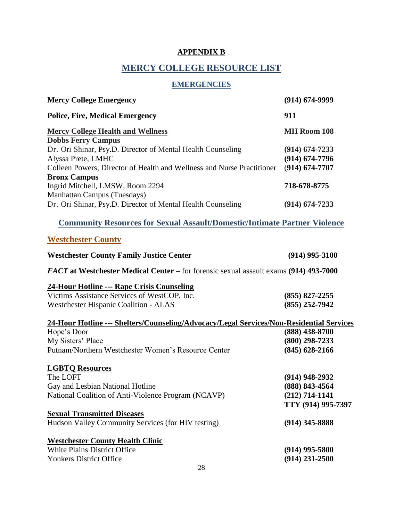## **APPENDIX B**

## **MERCY COLLEGE RESOURCE LIST**

## **EMERGENCIES**

| <b>Mercy College Emergency</b>                                                           | $(914) 674 - 9999$ |  |
|------------------------------------------------------------------------------------------|--------------------|--|
| <b>Police, Fire, Medical Emergency</b>                                                   | 911                |  |
| <b>Mercy College Health and Wellness</b>                                                 | MH Room 108        |  |
| <b>Dobbs Ferry Campus</b>                                                                |                    |  |
| Dr. Ori Shinar, Psy.D. Director of Mental Health Counseling                              | $(914) 674 - 7233$ |  |
| Alyssa Prete, LMHC                                                                       | $(914) 674 - 7796$ |  |
| Colleen Powers, Director of Health and Wellness and Nurse Practitioner                   | $(914) 674 - 7707$ |  |
| <b>Bronx Campus</b>                                                                      |                    |  |
| Ingrid Mitchell, LMSW, Room 2294                                                         | 718-678-8775       |  |
| <b>Manhattan Campus (Tuesdays)</b>                                                       |                    |  |
| Dr. Ori Shinar, Psy.D. Director of Mental Health Counseling                              | $(914) 674 - 7233$ |  |
| <b>Community Resources for Sexual Assault/Domestic/Intimate Partner Violence</b>         |                    |  |
| <b>Westchester County</b>                                                                |                    |  |
| <b>Westchester County Family Justice Center</b>                                          | $(914)$ 995-3100   |  |
| FACT at Westchester Medical Center – for forensic sexual assault exams (914) 493-7000    |                    |  |
| 24-Hour Hotline --- Rape Crisis Counseling                                               |                    |  |
| Victims Assistance Services of WestCOP, Inc.                                             | $(855)$ 827-2255   |  |
| Westchester Hispanic Coalition - ALAS                                                    | $(855)$ 252-7942   |  |
| 24-Hour Hotline --- Shelters/Counseling/Advocacy/Legal Services/Non-Residential Services |                    |  |
| Hope's Door                                                                              | $(888)$ 438-8700   |  |
| My Sisters' Place                                                                        | $(800)$ 298-7233   |  |
| Putnam/Northern Westchester Women's Resource Center                                      | $(845)$ 628-2166   |  |
| <b>LGBTQ Resources</b>                                                                   |                    |  |
| The LOFT                                                                                 | $(914)$ 948-2932   |  |
| Gay and Lesbian National Hotline                                                         | $(888) 843 - 4564$ |  |
| National Coalition of Anti-Violence Program (NCAVP)                                      | $(212)$ 714-1141   |  |
|                                                                                          | TTY (914) 995-7397 |  |
| <b>Sexual Transmitted Diseases</b>                                                       |                    |  |
| Hudson Valley Community Services (for HIV testing)                                       | $(914)$ 345-8888   |  |
| <b>Westchester County Health Clinic</b>                                                  |                    |  |
| White Plains District Office                                                             | $(914)$ 995-5800   |  |
| <b>Yonkers District Office</b>                                                           | $(914)$ 231-2500   |  |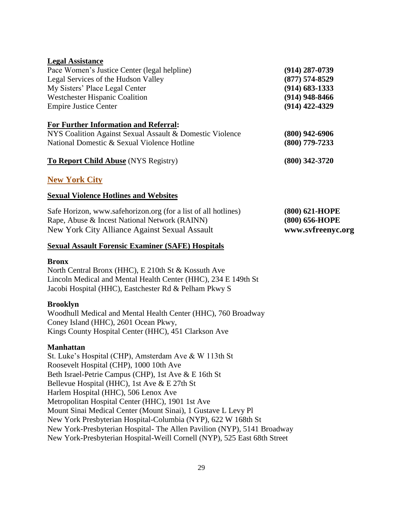| <b>Legal Assistance</b>                                        |                    |
|----------------------------------------------------------------|--------------------|
| Pace Women's Justice Center (legal helpline)                   | $(914)$ 287-0739   |
| Legal Services of the Hudson Valley                            | $(877) 574 - 8529$ |
| My Sisters' Place Legal Center                                 | $(914)$ 683-1333   |
| <b>Westchester Hispanic Coalition</b>                          | $(914)$ 948-8466   |
| <b>Empire Justice Center</b>                                   | $(914)$ 422-4329   |
| <b>For Further Information and Referral:</b>                   |                    |
| NYS Coalition Against Sexual Assault & Domestic Violence       | $(800)$ 942-6906   |
| National Domestic & Sexual Violence Hotline                    | $(800)$ 779-7233   |
| <b>To Report Child Abuse (NYS Registry)</b>                    | $(800)$ 342-3720   |
| <b>New York City</b>                                           |                    |
| <b>Sexual Violence Hotlines and Websites</b>                   |                    |
| Safe Horizon, www.safehorizon.org (for a list of all hotlines) | (800) 621-HOPE     |
| Rape, Abuse & Incest National Network (RAINN)                  | (800) 656-HOPE     |

[New York City Alliance Against Sexual Assault](http://www.svfreenyc.org/survivors_hotline.html) **www.svfreenyc.org**

#### **[Sexual Assault Forensic Examiner \(SAFE\) Hospitals](http://www.svfreenyc.org/survivors_emergency.html)**

#### **Bronx**

North Central Bronx (HHC), E 210th St & Kossuth Ave Lincoln Medical and Mental Health Center (HHC), 234 E 149th St Jacobi Hospital (HHC), Eastchester Rd & Pelham Pkwy S

#### **Brooklyn**

Woodhull Medical and Mental Health Center (HHC), 760 Broadway Coney Island (HHC), 2601 Ocean Pkwy, Kings County Hospital Center (HHC), 451 Clarkson Ave

#### **Manhattan**

St. Luke's Hospital (CHP), Amsterdam Ave & W 113th St Roosevelt Hospital (CHP), 1000 10th Ave Beth Israel-Petrie Campus (CHP), 1st Ave & E 16th St Bellevue Hospital (HHC), 1st Ave & E 27th St Harlem Hospital (HHC), 506 Lenox Ave Metropolitan Hospital Center (HHC), 1901 1st Ave Mount Sinai Medical Center (Mount Sinai), 1 Gustave L Levy Pl New York Presbyterian Hospital-Columbia (NYP), 622 W 168th St New York-Presbyterian Hospital- The Allen Pavilion (NYP), 5141 Broadway New York-Presbyterian Hospital-Weill Cornell (NYP), 525 East 68th Street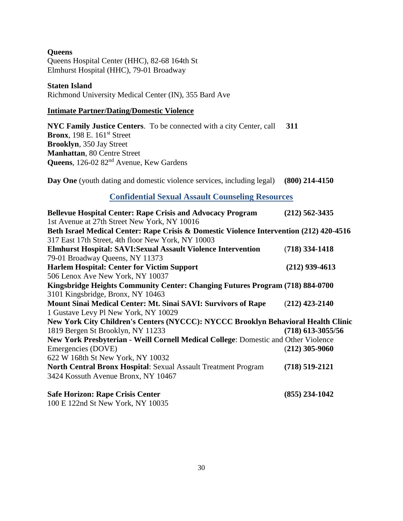**Queens**  Queens Hospital Center (HHC), 82-68 164th St Elmhurst Hospital (HHC), 79-01 Broadway

#### **Staten Island**

Richmond University Medical Center (IN), 355 Bard Ave

#### **Intimate Partner/Dating/Domestic Violence**

**[NYC Family Justice Centers](http://www.nyc.gov/html/ocdv/html/faq/fjc.shtml)**. To be connected with a city Center, call **311 Bronx**, 198 E. 161<sup>st</sup> Street **Brooklyn**, 350 Jay Street **Manhattan**, 80 Centre Street Queens, 126-02 82<sup>nd</sup> Avenue, Kew Gardens

**[Day One](http://www.dayoneny.org/)** (youth dating and domestic violence services, including legal) **(800) 214-4150**

## **Confidential Sexual Assault Counseling Resources**

| <b>Bellevue Hospital Center: Rape Crisis and Advocacy Program</b>                       | $(212)$ 562-3435    |
|-----------------------------------------------------------------------------------------|---------------------|
| 1st Avenue at 27th Street New York, NY 10016                                            |                     |
| Beth Israel Medical Center: Rape Crisis & Domestic Violence Intervention (212) 420-4516 |                     |
| 317 East 17th Street, 4th floor New York, NY 10003                                      |                     |
| <b>Elmhurst Hospital: SAVI: Sexual Assault Violence Intervention</b>                    | $(718)$ 334-1418    |
| 79-01 Broadway Queens, NY 11373                                                         |                     |
| <b>Harlem Hospital: Center for Victim Support</b>                                       | $(212)$ 939-4613    |
| 506 Lenox Ave New York, NY 10037                                                        |                     |
| Kingsbridge Heights Community Center: Changing Futures Program (718) 884-0700           |                     |
| 3101 Kingsbridge, Bronx, NY 10463                                                       |                     |
| <b>Mount Sinai Medical Center: Mt. Sinai SAVI: Survivors of Rape</b>                    | $(212)$ 423-2140    |
| 1 Gustave Levy Pl New York, NY 10029                                                    |                     |
| New York City Children's Centers (NYCCC): NYCCC Brooklyn Behavioral Health Clinic       |                     |
| 1819 Bergen St Brooklyn, NY 11233                                                       | $(718)$ 613-3055/56 |
| New York Presbyterian - Weill Cornell Medical College: Domestic and Other Violence      |                     |
| Emergencies (DOVE)                                                                      | $(212)$ 305-9060    |
| 622 W 168th St New York, NY 10032                                                       |                     |
| <b>North Central Bronx Hospital: Sexual Assault Treatment Program</b>                   | $(718) 519 - 2121$  |
| 3424 Kossuth Avenue Bronx, NY 10467                                                     |                     |
| <b>Safe Horizon: Rape Crisis Center</b>                                                 | $(855)$ 234-1042    |

100 E 122nd St New York, NY 10035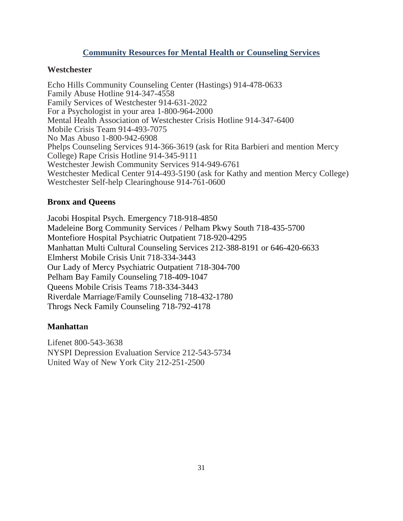## **Community Resources for Mental Health or Counseling Services**

## **Westchester**

Echo Hills Community Counseling Center (Hastings) 914-478-0633 Family Abuse Hotline 914-347-4558 Family Services of Westchester 914-631-2022 For a Psychologist in your area 1-800-964-2000 Mental Health Association of Westchester Crisis Hotline 914-347-6400 Mobile Crisis Team 914-493-7075 No Mas Abuso 1-800-942-6908 Phelps Counseling Services 914-366-3619 (ask for Rita Barbieri and mention Mercy College) Rape Crisis Hotline 914-345-9111 Westchester Jewish Community Services 914-949-6761 Westchester Medical Center 914-493-5190 (ask for Kathy and mention Mercy College) Westchester Self-help Clearinghouse 914-761-0600

## **Bronx and Queens**

Jacobi Hospital Psych. Emergency 718-918-4850 Madeleine Borg Community Services / Pelham Pkwy South 718-435-5700 Montefiore Hospital Psychiatric Outpatient 718-920-4295 Manhattan Multi Cultural Counseling Services 212-388-8191 or 646-420-6633 Elmherst Mobile Crisis Unit 718-334-3443 Our Lady of Mercy Psychiatric Outpatient 718-304-700 Pelham Bay Family Counseling 718-409-1047 Queens Mobile Crisis Teams 718-334-3443 Riverdale Marriage/Family Counseling 718-432-1780 Throgs Neck Family Counseling 718-792-4178

## **Manhattan**

Lifenet 800-543-3638 NYSPI Depression Evaluation Service 212-543-5734 United Way of New York City 212-251-2500